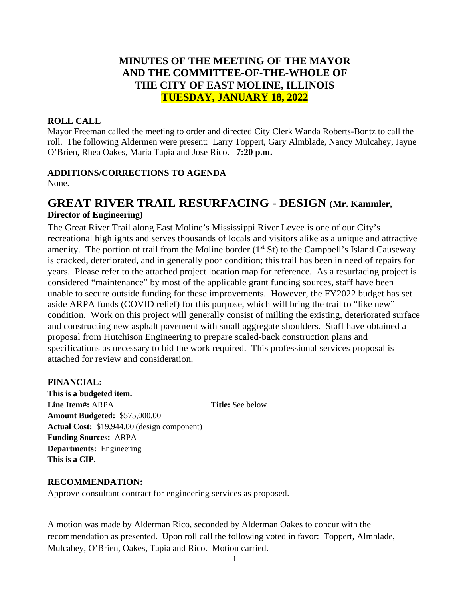# **MINUTES OF THE MEETING OF THE MAYOR AND THE COMMITTEE-OF-THE-WHOLE OF THE CITY OF EAST MOLINE, ILLINOIS TUESDAY, JANUARY 18, 2022**

### **ROLL CALL**

Mayor Freeman called the meeting to order and directed City Clerk Wanda Roberts-Bontz to call the roll. The following Aldermen were present: Larry Toppert, Gary Almblade, Nancy Mulcahey, Jayne O'Brien, Rhea Oakes, Maria Tapia and Jose Rico. **7:20 p.m.**

## **ADDITIONS/CORRECTIONS TO AGENDA**

None.

# **GREAT RIVER TRAIL RESURFACING - DESIGN (Mr. Kammler, Director of Engineering)**

The Great River Trail along East Moline's Mississippi River Levee is one of our City's recreational highlights and serves thousands of locals and visitors alike as a unique and attractive amenity. The portion of trail from the Moline border  $(1<sup>st</sup> St)$  to the Campbell's Island Causeway is cracked, deteriorated, and in generally poor condition; this trail has been in need of repairs for years. Please refer to the attached project location map for reference. As a resurfacing project is considered "maintenance" by most of the applicable grant funding sources, staff have been unable to secure outside funding for these improvements. However, the FY2022 budget has set aside ARPA funds (COVID relief) for this purpose, which will bring the trail to "like new" condition. Work on this project will generally consist of milling the existing, deteriorated surface and constructing new asphalt pavement with small aggregate shoulders. Staff have obtained a proposal from Hutchison Engineering to prepare scaled-back construction plans and specifications as necessary to bid the work required. This professional services proposal is attached for review and consideration.

### **FINANCIAL:**

**This is a budgeted item. Line Item#:** ARPA **Title:** See below **Amount Budgeted:** \$575,000.00 **Actual Cost:** \$19,944.00 (design component) **Funding Sources:** ARPA **Departments:** Engineering **This is a CIP.**

### **RECOMMENDATION:**

Approve consultant contract for engineering services as proposed.

A motion was made by Alderman Rico, seconded by Alderman Oakes to concur with the recommendation as presented. Upon roll call the following voted in favor: Toppert, Almblade, Mulcahey, O'Brien, Oakes, Tapia and Rico. Motion carried.